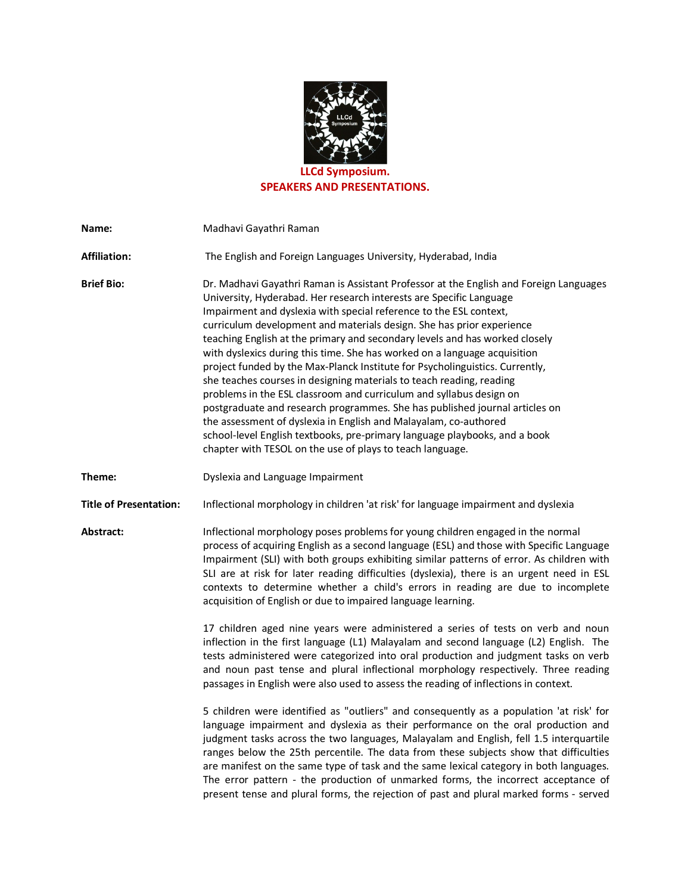

**SPEAKERS AND PRESENTATIONS.** 

| Name:                         | Madhavi Gayathri Raman                                                                                                                                                                                                                                                                                                                                                                                                                                                                                                                                                                                                                                                                                                                                                                                                                                                                                                                                                                                |
|-------------------------------|-------------------------------------------------------------------------------------------------------------------------------------------------------------------------------------------------------------------------------------------------------------------------------------------------------------------------------------------------------------------------------------------------------------------------------------------------------------------------------------------------------------------------------------------------------------------------------------------------------------------------------------------------------------------------------------------------------------------------------------------------------------------------------------------------------------------------------------------------------------------------------------------------------------------------------------------------------------------------------------------------------|
| <b>Affiliation:</b>           | The English and Foreign Languages University, Hyderabad, India                                                                                                                                                                                                                                                                                                                                                                                                                                                                                                                                                                                                                                                                                                                                                                                                                                                                                                                                        |
| <b>Brief Bio:</b>             | Dr. Madhavi Gayathri Raman is Assistant Professor at the English and Foreign Languages<br>University, Hyderabad. Her research interests are Specific Language<br>Impairment and dyslexia with special reference to the ESL context,<br>curriculum development and materials design. She has prior experience<br>teaching English at the primary and secondary levels and has worked closely<br>with dyslexics during this time. She has worked on a language acquisition<br>project funded by the Max-Planck Institute for Psycholinguistics. Currently,<br>she teaches courses in designing materials to teach reading, reading<br>problems in the ESL classroom and curriculum and syllabus design on<br>postgraduate and research programmes. She has published journal articles on<br>the assessment of dyslexia in English and Malayalam, co-authored<br>school-level English textbooks, pre-primary language playbooks, and a book<br>chapter with TESOL on the use of plays to teach language. |
| Theme:                        | Dyslexia and Language Impairment                                                                                                                                                                                                                                                                                                                                                                                                                                                                                                                                                                                                                                                                                                                                                                                                                                                                                                                                                                      |
| <b>Title of Presentation:</b> | Inflectional morphology in children 'at risk' for language impairment and dyslexia                                                                                                                                                                                                                                                                                                                                                                                                                                                                                                                                                                                                                                                                                                                                                                                                                                                                                                                    |
| Abstract:                     | Inflectional morphology poses problems for young children engaged in the normal<br>process of acquiring English as a second language (ESL) and those with Specific Language<br>Impairment (SLI) with both groups exhibiting similar patterns of error. As children with<br>SLI are at risk for later reading difficulties (dyslexia), there is an urgent need in ESL<br>contexts to determine whether a child's errors in reading are due to incomplete<br>acquisition of English or due to impaired language learning.                                                                                                                                                                                                                                                                                                                                                                                                                                                                               |
|                               | 17 children aged nine years were administered a series of tests on verb and noun<br>inflection in the first language (L1) Malayalam and second language (L2) English. The<br>tests administered were categorized into oral production and judgment tasks on verb<br>and noun past tense and plural inflectional morphology respectively. Three reading<br>passages in English were also used to assess the reading of inflections in context.                                                                                                                                                                                                                                                                                                                                                                                                                                                                                                                                                         |
|                               | 5 children were identified as "outliers" and consequently as a population 'at risk' for<br>language impairment and dyslexia as their performance on the oral production and<br>judgment tasks across the two languages, Malayalam and English, fell 1.5 interquartile<br>ranges below the 25th percentile. The data from these subjects show that difficulties<br>are manifest on the same type of task and the same lexical category in both languages.<br>The error pattern - the production of unmarked forms, the incorrect acceptance of<br>present tense and plural forms, the rejection of past and plural marked forms - served                                                                                                                                                                                                                                                                                                                                                               |